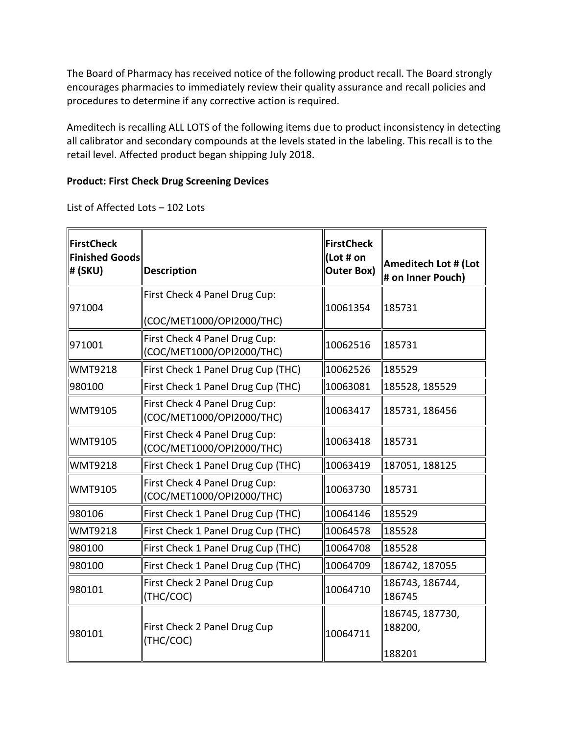The Board of Pharmacy has received notice of the following product recall. The Board strongly encourages pharmacies to immediately review their quality assurance and recall policies and procedures to determine if any corrective action is required.

 Ameditech is recalling ALL LOTS of the following items due to product inconsistency in detecting all calibrator and secondary compounds at the levels stated in the labeling. This recall is to the retail level. Affected product began shipping July 2018.

## **Product: First Check Drug Screening Devices**

List of Affected Lots – 102 Lots

| <b>FirstCheck</b><br><b>Finished Goods</b><br>#(SKU) | <b>Description</b>                                         | <b>FirstCheck</b><br>(Lot # on<br><b>Outer Box)</b> | Ameditech Lot # (Lot<br># on Inner Pouch) |
|------------------------------------------------------|------------------------------------------------------------|-----------------------------------------------------|-------------------------------------------|
| 971004                                               | First Check 4 Panel Drug Cup:<br>(COC/MET1000/OPI2000/THC) | 10061354                                            | 185731                                    |
| 971001                                               | First Check 4 Panel Drug Cup:<br>(COC/MET1000/OPI2000/THC) | 10062516                                            | 185731                                    |
| <b>WMT9218</b>                                       | First Check 1 Panel Drug Cup (THC)                         | 10062526                                            | 185529                                    |
| 980100                                               | First Check 1 Panel Drug Cup (THC)                         | 10063081                                            | 185528, 185529                            |
| <b>WMT9105</b>                                       | First Check 4 Panel Drug Cup:<br>(COC/MET1000/OPI2000/THC) | 10063417                                            | 185731, 186456                            |
| <b>WMT9105</b>                                       | First Check 4 Panel Drug Cup:<br>(COC/MET1000/OPI2000/THC) | 10063418                                            | 185731                                    |
| <b>WMT9218</b>                                       | First Check 1 Panel Drug Cup (THC)                         | 10063419                                            | 187051, 188125                            |
| <b>WMT9105</b>                                       | First Check 4 Panel Drug Cup:<br>(COC/MET1000/OPI2000/THC) | 10063730                                            | 185731                                    |
| 980106                                               | First Check 1 Panel Drug Cup (THC)                         | 10064146                                            | 185529                                    |
| <b>WMT9218</b>                                       | First Check 1 Panel Drug Cup (THC)                         | 10064578                                            | 185528                                    |
| 980100                                               | First Check 1 Panel Drug Cup (THC)                         | 10064708                                            | 185528                                    |
| 980100                                               | First Check 1 Panel Drug Cup (THC)                         | 10064709                                            | 186742, 187055                            |
| 980101                                               | First Check 2 Panel Drug Cup<br>(THC/COC)                  | 10064710                                            | 186743, 186744,<br>186745                 |
| 980101                                               | First Check 2 Panel Drug Cup<br>(THC/COC)                  | 10064711                                            | 186745, 187730,<br>188200,<br>188201      |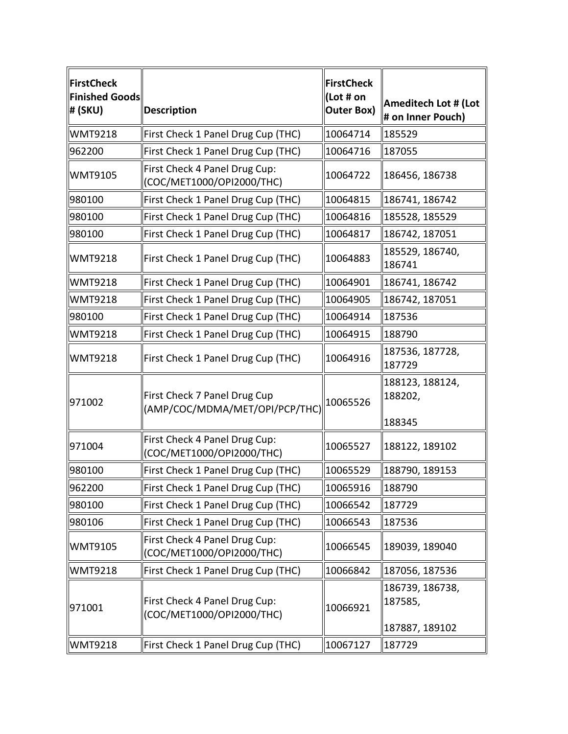| <b>FirstCheck</b><br><b>Finished Goods</b><br>#(SKU) | <b>Description</b>                                             | <b>FirstCheck</b><br>(Lot # on<br><b>Outer Box)</b> | Ameditech Lot # (Lot<br># on Inner Pouch) |
|------------------------------------------------------|----------------------------------------------------------------|-----------------------------------------------------|-------------------------------------------|
| <b>WMT9218</b>                                       | First Check 1 Panel Drug Cup (THC)                             | 10064714                                            | 185529                                    |
| 962200                                               | First Check 1 Panel Drug Cup (THC)                             | 10064716                                            | 187055                                    |
| <b>WMT9105</b>                                       | First Check 4 Panel Drug Cup:<br>(COC/MET1000/OPI2000/THC)     | 10064722                                            | 186456, 186738                            |
| 980100                                               | First Check 1 Panel Drug Cup (THC)                             | 10064815                                            | 186741, 186742                            |
| 980100                                               | First Check 1 Panel Drug Cup (THC)                             | 10064816                                            | 185528, 185529                            |
| 980100                                               | First Check 1 Panel Drug Cup (THC)                             | 10064817                                            | 186742, 187051                            |
| <b>WMT9218</b>                                       | First Check 1 Panel Drug Cup (THC)                             | 10064883                                            | 185529, 186740,<br>186741                 |
| <b>WMT9218</b>                                       | First Check 1 Panel Drug Cup (THC)                             | 10064901                                            | 186741, 186742                            |
| <b>WMT9218</b>                                       | First Check 1 Panel Drug Cup (THC)                             | 10064905                                            | 186742, 187051                            |
| 980100                                               | First Check 1 Panel Drug Cup (THC)                             | 10064914                                            | 187536                                    |
| <b>WMT9218</b>                                       | First Check 1 Panel Drug Cup (THC)                             | 10064915                                            | 188790                                    |
| <b>WMT9218</b>                                       | First Check 1 Panel Drug Cup (THC)                             | 10064916                                            | 187536, 187728,<br>187729                 |
| 971002                                               | First Check 7 Panel Drug Cup<br>(AMP/COC/MDMA/MET/OPI/PCP/THC) | 10065526                                            | 188123, 188124,<br>188202,<br>188345      |
| 971004                                               | First Check 4 Panel Drug Cup:<br>(COC/MET1000/OPI2000/THC)     | 10065527                                            | 188122, 189102                            |
| 980100                                               | First Check 1 Panel Drug Cup (THC)                             | 10065529                                            | 188790, 189153                            |
| 962200                                               | First Check 1 Panel Drug Cup (THC)                             | 10065916                                            | 188790                                    |
| 980100                                               | First Check 1 Panel Drug Cup (THC)                             | 10066542                                            | 187729                                    |
| 980106                                               | First Check 1 Panel Drug Cup (THC)                             | 10066543                                            | 187536                                    |
| <b>WMT9105</b>                                       | First Check 4 Panel Drug Cup:<br>(COC/MET1000/OPI2000/THC)     | 10066545                                            | 189039, 189040                            |
| <b>WMT9218</b>                                       | First Check 1 Panel Drug Cup (THC)                             | 10066842                                            | 187056, 187536                            |
| 971001                                               | First Check 4 Panel Drug Cup:<br>(COC/MET1000/OPI2000/THC)     | 10066921                                            | 186739, 186738,<br>187585,                |
|                                                      |                                                                |                                                     | 187887, 189102                            |
| <b>WMT9218</b>                                       | First Check 1 Panel Drug Cup (THC)                             | 10067127                                            | 187729                                    |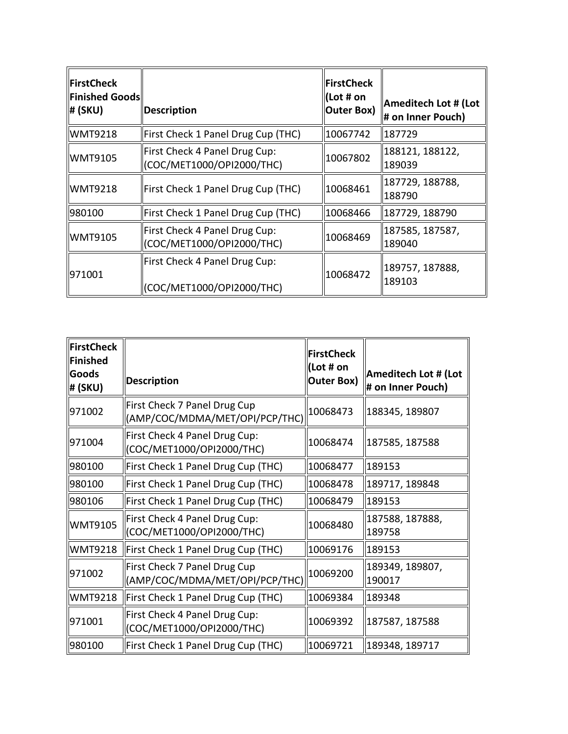| <b>FirstCheck</b><br><b>Finished Goods</b><br>#(SKU) | <b>Description</b>                                         | FirstCheck<br>(Lot # on<br><b>Outer Box)</b> | <b>Ameditech Lot # (Lot</b><br># on Inner Pouch) |
|------------------------------------------------------|------------------------------------------------------------|----------------------------------------------|--------------------------------------------------|
| <b>WMT9218</b>                                       | First Check 1 Panel Drug Cup (THC)                         | 10067742                                     | 187729                                           |
| <b>WMT9105</b>                                       | First Check 4 Panel Drug Cup:<br>(COC/MET1000/OPI2000/THC) | 10067802                                     | 188121, 188122,<br>189039                        |
| <b>WMT9218</b>                                       | First Check 1 Panel Drug Cup (THC)                         | 10068461                                     | 187729, 188788,<br>188790                        |
| 980100                                               | First Check 1 Panel Drug Cup (THC)                         | 10068466                                     | 187729, 188790                                   |
| <b>WMT9105</b>                                       | First Check 4 Panel Drug Cup:<br>(COC/MET1000/OPI2000/THC) | 10068469                                     | 187585, 187587,<br>189040                        |
| 971001                                               | First Check 4 Panel Drug Cup:<br>(COC/MET1000/OPI2000/THC) | 10068472                                     | 189757, 187888,<br>189103                        |

| <b>FirstCheck</b><br><b>Finished</b><br>Goods<br>#(SKU) | <b>Description</b>                                             | <b>FirstCheck</b><br>(Lot # on<br><b>Outer Box)</b> | <b>Ameditech Lot # (Lot</b><br># on Inner Pouch) |
|---------------------------------------------------------|----------------------------------------------------------------|-----------------------------------------------------|--------------------------------------------------|
| 971002                                                  | First Check 7 Panel Drug Cup<br>(AMP/COC/MDMA/MET/OPI/PCP/THC) | 10068473                                            | 188345, 189807                                   |
| 971004                                                  | First Check 4 Panel Drug Cup:<br>(COC/MET1000/OPI2000/THC)     | 10068474                                            | 187585, 187588                                   |
| 980100                                                  | First Check 1 Panel Drug Cup (THC)                             | 10068477                                            | 189153                                           |
| 980100                                                  | First Check 1 Panel Drug Cup (THC)                             | 10068478                                            | 189717, 189848                                   |
| 980106                                                  | First Check 1 Panel Drug Cup (THC)                             | 10068479                                            | 189153                                           |
| <b>WMT9105</b>                                          | First Check 4 Panel Drug Cup:<br>(COC/MET1000/OPI2000/THC)     | 10068480                                            | 187588, 187888,<br>189758                        |
| <b>WMT9218</b>                                          | First Check 1 Panel Drug Cup (THC)                             | 10069176                                            | 189153                                           |
| 971002                                                  | First Check 7 Panel Drug Cup<br>(AMP/COC/MDMA/MET/OPI/PCP/THC) | 10069200                                            | 189349, 189807,<br>190017                        |
| <b>WMT9218</b>                                          | First Check 1 Panel Drug Cup (THC)                             | 10069384                                            | 189348                                           |
| 971001                                                  | First Check 4 Panel Drug Cup:<br>(COC/MET1000/OPI2000/THC)     | 10069392                                            | 187587, 187588                                   |
| 980100                                                  | First Check 1 Panel Drug Cup (THC)                             | 10069721                                            | 189348, 189717                                   |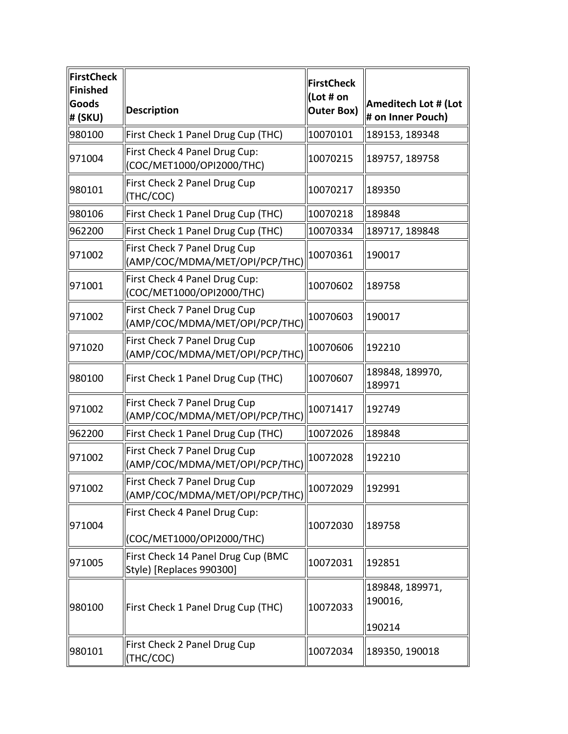| <b>FirstCheck</b><br><b>Finished</b><br><b>Goods</b><br># (SKU) | <b>Description</b>                                             | <b>FirstCheck</b><br>(Lot # on<br><b>Outer Box)</b> | Ameditech Lot # (Lot<br># on Inner Pouch) |
|-----------------------------------------------------------------|----------------------------------------------------------------|-----------------------------------------------------|-------------------------------------------|
| 980100                                                          | First Check 1 Panel Drug Cup (THC)                             | 10070101                                            | 189153, 189348                            |
| 971004                                                          | First Check 4 Panel Drug Cup:<br>(COC/MET1000/OPI2000/THC)     | 10070215                                            | 189757, 189758                            |
| 980101                                                          | First Check 2 Panel Drug Cup<br>(THC/COC)                      | 10070217                                            | 189350                                    |
| 980106                                                          | First Check 1 Panel Drug Cup (THC)                             | 10070218                                            | 189848                                    |
| 962200                                                          | First Check 1 Panel Drug Cup (THC)                             | 10070334                                            | 189717, 189848                            |
| 971002                                                          | First Check 7 Panel Drug Cup<br>(AMP/COC/MDMA/MET/OPI/PCP/THC) | 10070361                                            | 190017                                    |
| 971001                                                          | First Check 4 Panel Drug Cup:<br>(COC/MET1000/OPI2000/THC)     | 10070602                                            | 189758                                    |
| 971002                                                          | First Check 7 Panel Drug Cup<br>(AMP/COC/MDMA/MET/OPI/PCP/THC) | 10070603                                            | 190017                                    |
| 971020                                                          | First Check 7 Panel Drug Cup<br>(AMP/COC/MDMA/MET/OPI/PCP/THC) | 10070606                                            | 192210                                    |
| 980100                                                          | First Check 1 Panel Drug Cup (THC)                             | 10070607                                            | 189848, 189970,<br>189971                 |
| 971002                                                          | First Check 7 Panel Drug Cup<br>(AMP/COC/MDMA/MET/OPI/PCP/THC) | 10071417                                            | 192749                                    |
| 962200                                                          | First Check 1 Panel Drug Cup (THC)                             | 10072026                                            | 189848                                    |
| 971002                                                          | First Check 7 Panel Drug Cup<br>(AMP/COC/MDMA/MET/OPI/PCP/THC) | 10072028                                            | 192210                                    |
| 971002                                                          | First Check 7 Panel Drug Cup<br>(AMP/COC/MDMA/MET/OPI/PCP/THC) | 10072029                                            | 192991                                    |
| 971004                                                          | First Check 4 Panel Drug Cup:<br>(COC/MET1000/OPI2000/THC)     | 10072030                                            | 189758                                    |
| 971005                                                          | First Check 14 Panel Drug Cup (BMC<br>Style) [Replaces 990300] | 10072031                                            | 192851                                    |
| 980100                                                          | First Check 1 Panel Drug Cup (THC)                             | 10072033                                            | 189848, 189971,<br>190016,                |
|                                                                 |                                                                |                                                     | 190214                                    |
| 980101                                                          | First Check 2 Panel Drug Cup<br>(THC/COC)                      | 10072034                                            | 189350, 190018                            |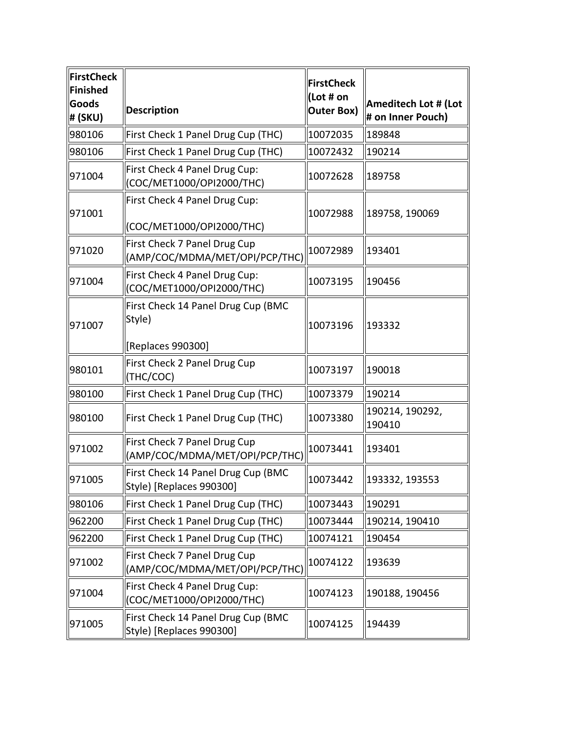| FirstCheck<br>Finished<br>Goods<br> # (SKU) | <b>Description</b>                                             | <b>FirstCheck</b><br>(Lot # on<br><b>Outer Box)</b> | Ameditech Lot # (Lot<br># on Inner Pouch) |
|---------------------------------------------|----------------------------------------------------------------|-----------------------------------------------------|-------------------------------------------|
| 980106                                      | First Check 1 Panel Drug Cup (THC)                             | 10072035                                            | 189848                                    |
| 980106                                      | First Check 1 Panel Drug Cup (THC)                             | 10072432                                            | 190214                                    |
| 971004                                      | First Check 4 Panel Drug Cup:<br>(COC/MET1000/OPI2000/THC)     | 10072628                                            | 189758                                    |
| 971001                                      | First Check 4 Panel Drug Cup:<br>(COC/MET1000/OPI2000/THC)     | 10072988                                            | 189758, 190069                            |
| 971020                                      | First Check 7 Panel Drug Cup<br>(AMP/COC/MDMA/MET/OPI/PCP/THC) | 10072989                                            | 193401                                    |
| 971004                                      | First Check 4 Panel Drug Cup:<br>(COC/MET1000/OPI2000/THC)     | 10073195                                            | 190456                                    |
| 971007                                      | First Check 14 Panel Drug Cup (BMC<br>Style)                   | 10073196                                            | 193332                                    |
|                                             | [Replaces 990300]                                              |                                                     |                                           |
| 980101                                      | First Check 2 Panel Drug Cup<br>(THC/COC)                      | 10073197                                            | 190018                                    |
| 980100                                      | First Check 1 Panel Drug Cup (THC)                             | 10073379                                            | 190214                                    |
| 980100                                      | First Check 1 Panel Drug Cup (THC)                             | 10073380                                            | 190214, 190292,<br>190410                 |
| 971002                                      | First Check 7 Panel Drug Cup<br>(AMP/COC/MDMA/MET/OPI/PCP/THC) | 10073441                                            | 193401                                    |
| 971005                                      | First Check 14 Panel Drug Cup (BMC<br>Style) [Replaces 990300] | 10073442                                            | 193332, 193553                            |
| 980106                                      | First Check 1 Panel Drug Cup (THC)                             | 10073443                                            | 190291                                    |
| 962200                                      | First Check 1 Panel Drug Cup (THC)                             | 10073444                                            | 190214, 190410                            |
| 962200                                      | First Check 1 Panel Drug Cup (THC)                             | 10074121                                            | 190454                                    |
| 971002                                      | First Check 7 Panel Drug Cup<br>(AMP/COC/MDMA/MET/OPI/PCP/THC) | 10074122                                            | 193639                                    |
| 971004                                      | First Check 4 Panel Drug Cup:<br>(COC/MET1000/OPI2000/THC)     | 10074123                                            | 190188, 190456                            |
| 971005                                      | First Check 14 Panel Drug Cup (BMC<br>Style) [Replaces 990300] | 10074125                                            | 194439                                    |